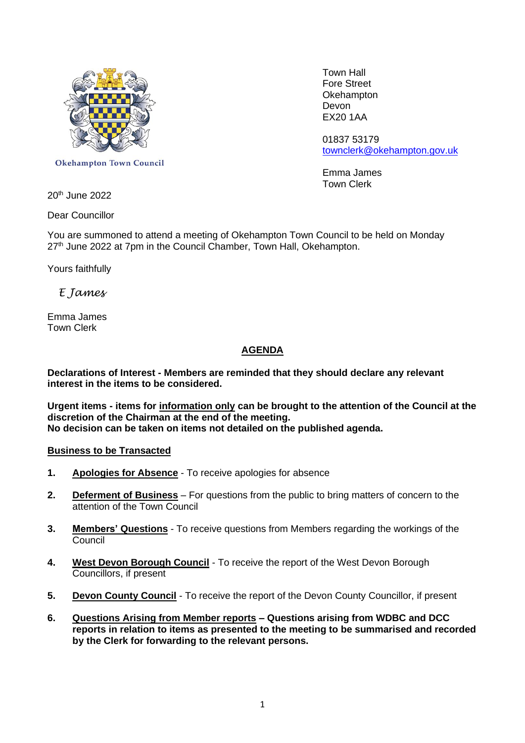

**Okehampton Town Council** 

 Town Hall Fore Street **Okehampton** EX20 1AA

01837 53179 [townclerk@okehampton.gov.uk](mailto:townclerk@okehampton.gov.uk)

Emma James Town Clerk

20th June 2022

Dear Councillor

You are summoned to attend a meeting of Okehampton Town Council to be held on Monday 27<sup>th</sup> June 2022 at 7pm in the Council Chamber, Town Hall, Okehampton.

Yours faithfully

# *E James*

Emma James Town Clerk

## **AGENDA**

**Declarations of Interest - Members are reminded that they should declare any relevant interest in the items to be considered.**

**Urgent items - items for information only can be brought to the attention of the Council at the discretion of the Chairman at the end of the meeting. No decision can be taken on items not detailed on the published agenda.**

#### **Business to be Transacted**

- **1. Apologies for Absence** To receive apologies for absence
- **2. Deferment of Business** For questions from the public to bring matters of concern to the attention of the Town Council
- **3. Members' Questions** To receive questions from Members regarding the workings of the **Council**
- **4. West Devon Borough Council** To receive the report of the West Devon Borough Councillors, if present
- **5. Devon County Council** To receive the report of the Devon County Councillor, if present
- **6. Questions Arising from Member reports – Questions arising from WDBC and DCC reports in relation to items as presented to the meeting to be summarised and recorded by the Clerk for forwarding to the relevant persons.**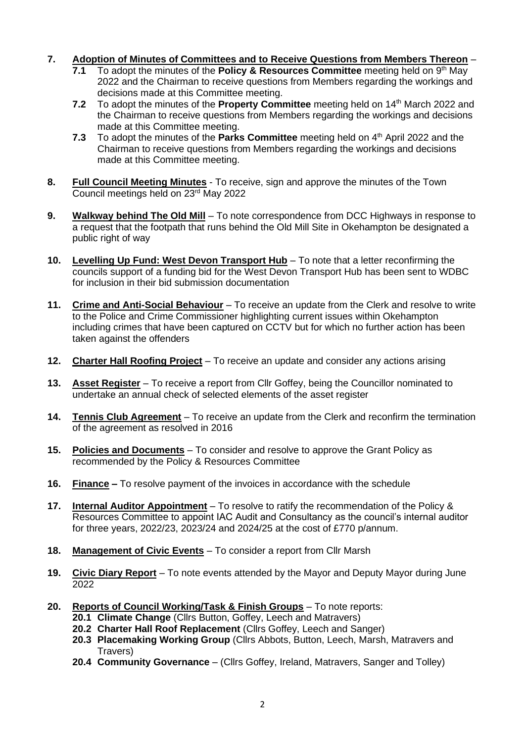### **7. Adoption of Minutes of Committees and to Receive Questions from Members Thereon** –

- **7.1** To adopt the minutes of the **Policy & Resources Committee** meeting held on 9<sup>th</sup> May 2022 and the Chairman to receive questions from Members regarding the workings and decisions made at this Committee meeting.
- **7.2** To adopt the minutes of the **Property Committee** meeting held on 14<sup>th</sup> March 2022 and the Chairman to receive questions from Members regarding the workings and decisions made at this Committee meeting.
- 7.3 To adopt the minutes of the **Parks Committee** meeting held on 4<sup>th</sup> April 2022 and the Chairman to receive questions from Members regarding the workings and decisions made at this Committee meeting.
- **8. Full Council Meeting Minutes** To receive, sign and approve the minutes of the Town Council meetings held on 23rd May 2022
- **9. Walkway behind The Old Mill** To note correspondence from DCC Highways in response to a request that the footpath that runs behind the Old Mill Site in Okehampton be designated a public right of way
- **10. Levelling Up Fund: West Devon Transport Hub** To note that a letter reconfirming the councils support of a funding bid for the West Devon Transport Hub has been sent to WDBC for inclusion in their bid submission documentation
- **11. Crime and Anti-Social Behaviour** To receive an update from the Clerk and resolve to write to the Police and Crime Commissioner highlighting current issues within Okehampton including crimes that have been captured on CCTV but for which no further action has been taken against the offenders
- **12. Charter Hall Roofing Project** To receive an update and consider any actions arising
- **13. Asset Register** To receive a report from Cllr Goffey, being the Councillor nominated to undertake an annual check of selected elements of the asset register
- **14. Tennis Club Agreement** To receive an update from the Clerk and reconfirm the termination of the agreement as resolved in 2016
- **15. Policies and Documents** To consider and resolve to approve the Grant Policy as recommended by the Policy & Resources Committee
- **16. Finance –** To resolve payment of the invoices in accordance with the schedule
- **17. Internal Auditor Appointment** To resolve to ratify the recommendation of the Policy & Resources Committee to appoint IAC Audit and Consultancy as the council's internal auditor for three years, 2022/23, 2023/24 and 2024/25 at the cost of £770 p/annum.
- **18. Management of Civic Events** To consider a report from Cllr Marsh
- **19. Civic Diary Report** To note events attended by the Mayor and Deputy Mayor during June 2022
- **20. Reports of Council Working/Task & Finish Groups** To note reports:
	- **20.1 Climate Change** (Cllrs Button, Goffey, Leech and Matravers)
	- **20.2 Charter Hall Roof Replacement** (Cllrs Goffey, Leech and Sanger)
	- **20.3 Placemaking Working Group** (Cllrs Abbots, Button, Leech, Marsh, Matravers and Travers)
	- **20.4 Community Governance** (Cllrs Goffey, Ireland, Matravers, Sanger and Tolley)